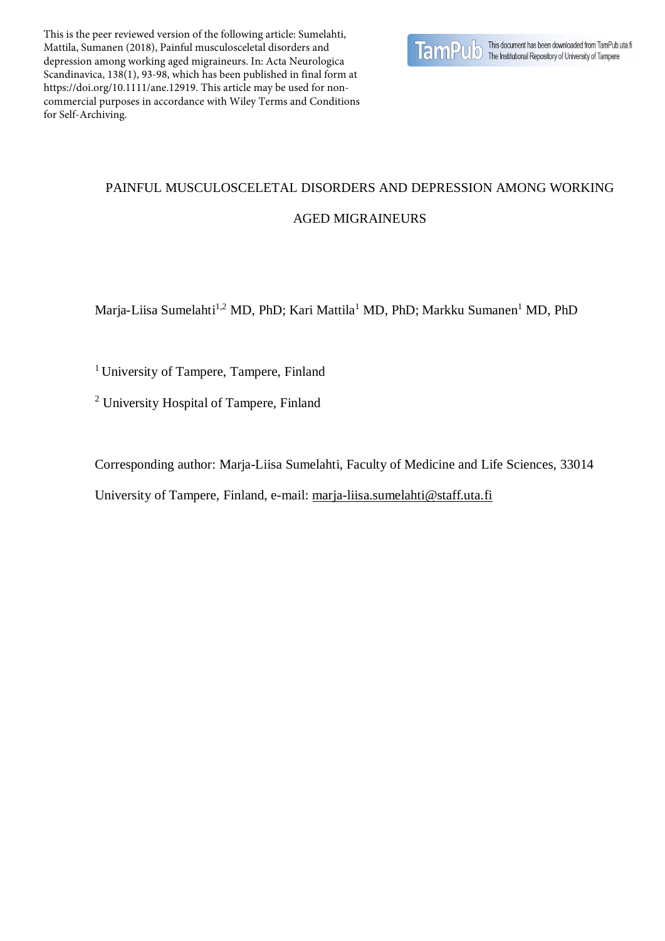This is the peer reviewed version of the following article: Sumelahti, Mattila, Sumanen (2018), Painful musculosceletal disorders and depression among working aged migraineurs. In: Acta Neurologica Scandinavica, 138(1), 93-98, which has been published in final form at https://doi.org/10.1111/ane.12919. This article may be used for noncommercial purposes in accordance with Wiley Terms and Conditions for Self-Archiving.



# PAINFUL MUSCULOSCELETAL DISORDERS AND DEPRESSION AMONG WORKING AGED MIGRAINEURS

Marja-Liisa Sumelahti<sup>1,2</sup> MD, PhD; Kari Mattila<sup>1</sup> MD, PhD; Markku Sumanen<sup>1</sup> MD, PhD

<sup>1</sup> University of Tampere, Tampere, Finland

<sup>2</sup> University Hospital of Tampere, Finland

Corresponding author: Marja-Liisa Sumelahti, Faculty of Medicine and Life Sciences, 33014

University of Tampere, Finland, e-mail: [marja-liisa.sumelahti@staff.uta.fi](mailto:marja-liisa.sumelahti@staff.uta.fi)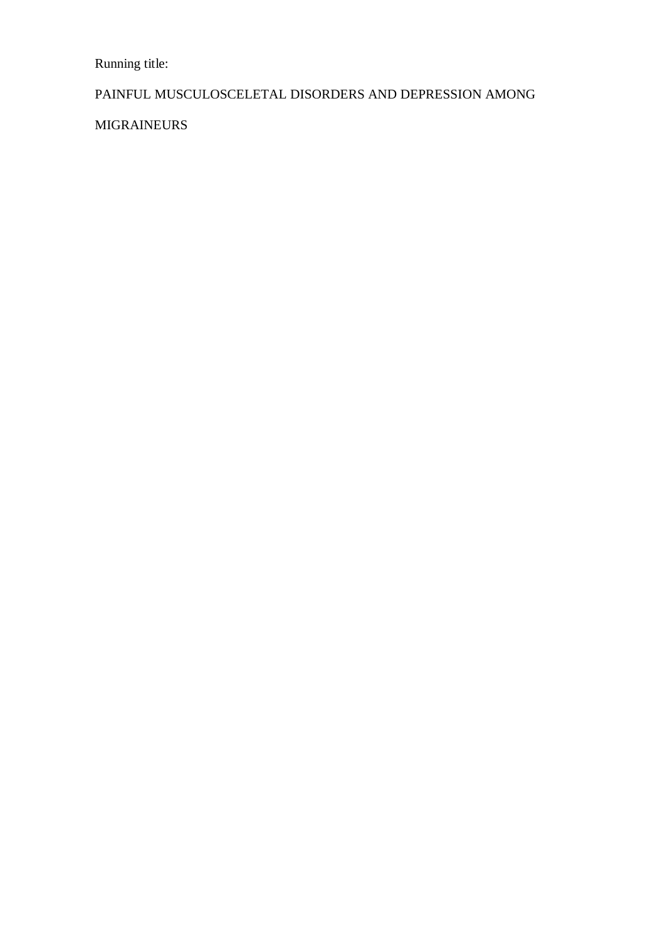Running title:

# PAINFUL MUSCULOSCELETAL DISORDERS AND DEPRESSION AMONG

MIGRAINEURS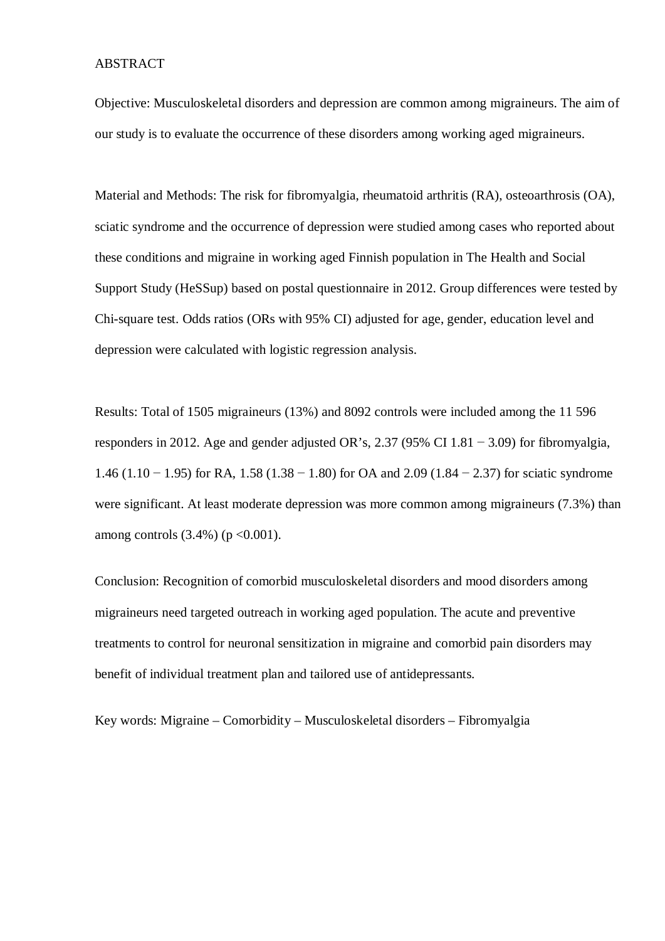#### ABSTRACT

Objective: Musculoskeletal disorders and depression are common among migraineurs. The aim of our study is to evaluate the occurrence of these disorders among working aged migraineurs.

Material and Methods: The risk for fibromyalgia, rheumatoid arthritis (RA), osteoarthrosis (OA), sciatic syndrome and the occurrence of depression were studied among cases who reported about these conditions and migraine in working aged Finnish population in The Health and Social Support Study (HeSSup) based on postal questionnaire in 2012. Group differences were tested by Chi-square test. Odds ratios (ORs with 95% CI) adjusted for age, gender, education level and depression were calculated with logistic regression analysis.

Results: Total of 1505 migraineurs (13%) and 8092 controls were included among the 11 596 responders in 2012. Age and gender adjusted OR's, 2.37 (95% CI 1.81 – 3.09) for fibromyalgia, 1.46 (1.10 − 1.95) for RA, 1.58 (1.38 − 1.80) for OA and 2.09 (1.84 − 2.37) for sciatic syndrome were significant. At least moderate depression was more common among migraineurs (7.3%) than among controls  $(3.4\%)$  (p < 0.001).

Conclusion: Recognition of comorbid musculoskeletal disorders and mood disorders among migraineurs need targeted outreach in working aged population. The acute and preventive treatments to control for neuronal sensitization in migraine and comorbid pain disorders may benefit of individual treatment plan and tailored use of antidepressants.

Key words: Migraine – Comorbidity – Musculoskeletal disorders – Fibromyalgia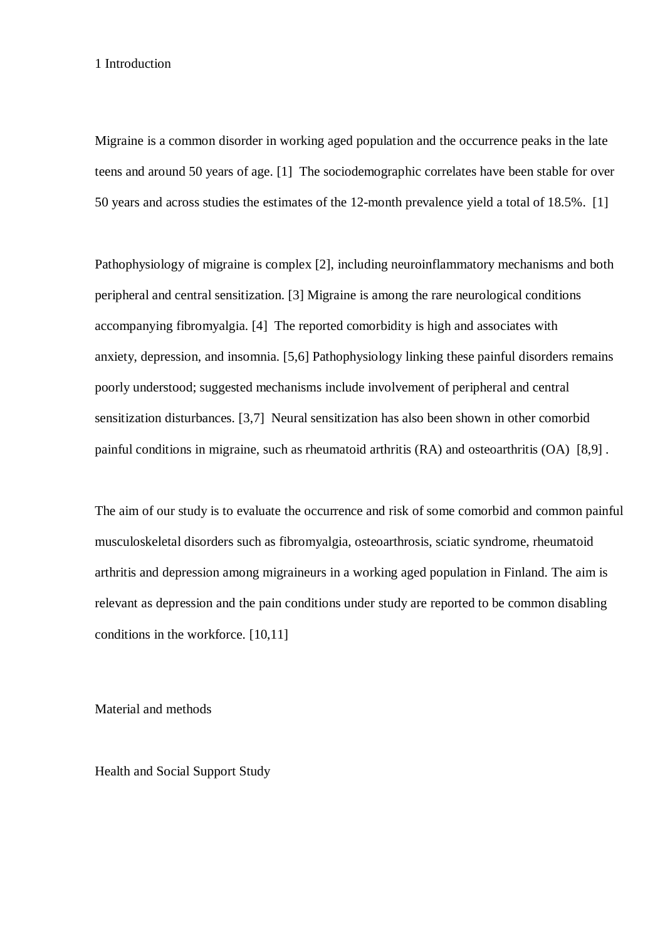#### 1 Introduction

Migraine is a common disorder in working aged population and the occurrence peaks in the late teens and around 50 years of age. [1] The sociodemographic correlates have been stable for over 50 years and across studies the estimates of the 12-month prevalence yield a total of 18.5%. [1]

Pathophysiology of migraine is complex [2], including neuroinflammatory mechanisms and both peripheral and central sensitization. [3] Migraine is among the rare neurological conditions accompanying fibromyalgia. [4] The reported comorbidity is high and associates with anxiety, depression, and insomnia. [5,6] Pathophysiology linking these painful disorders remains poorly understood; suggested mechanisms include involvement of peripheral and central sensitization disturbances. [3,7] Neural sensitization has also been shown in other comorbid painful conditions in migraine, such as rheumatoid arthritis (RA) and osteoarthritis (OA) [8,9] .

The aim of our study is to evaluate the occurrence and risk of some comorbid and common painful musculoskeletal disorders such as fibromyalgia, osteoarthrosis, sciatic syndrome, rheumatoid arthritis and depression among migraineurs in a working aged population in Finland. The aim is relevant as depression and the pain conditions under study are reported to be common disabling conditions in the workforce. [10,11]

Material and methods

Health and Social Support Study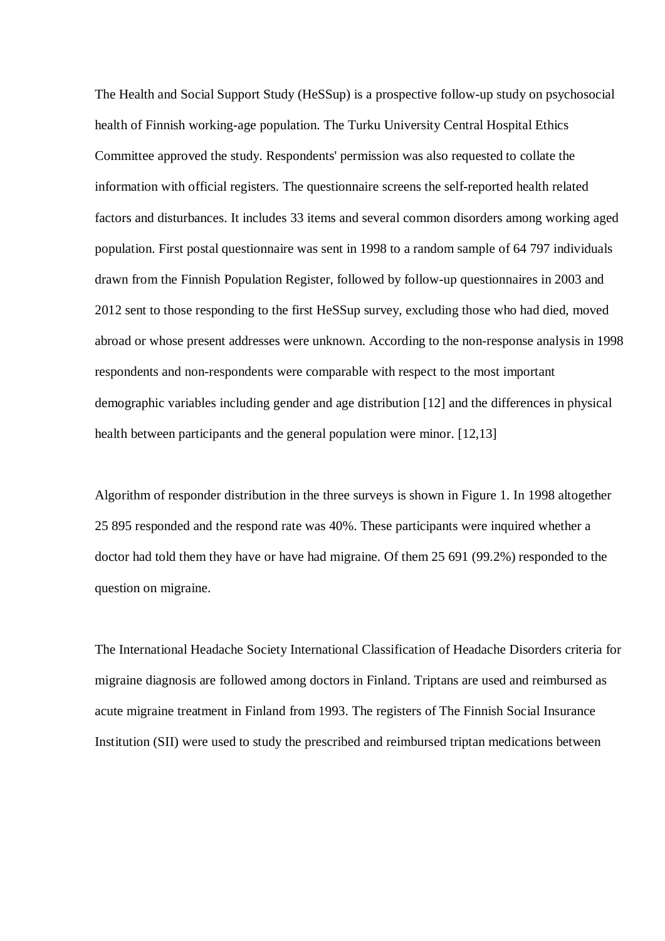The Health and Social Support Study (HeSSup) is a prospective follow-up study on psychosocial health of Finnish working-age population. The Turku University Central Hospital Ethics Committee approved the study. Respondents' permission was also requested to collate the information with official registers. The questionnaire screens the self-reported health related factors and disturbances. It includes 33 items and several common disorders among working aged population. First postal questionnaire was sent in 1998 to a random sample of 64 797 individuals drawn from the Finnish Population Register, followed by follow-up questionnaires in 2003 and 2012 sent to those responding to the first HeSSup survey, excluding those who had died, moved abroad or whose present addresses were unknown. According to the non-response analysis in 1998 respondents and non-respondents were comparable with respect to the most important demographic variables including gender and age distribution [12] and the differences in physical health between participants and the general population were minor. [12,13]

Algorithm of responder distribution in the three surveys is shown in Figure 1. In 1998 altogether 25 895 responded and the respond rate was 40%. These participants were inquired whether a doctor had told them they have or have had migraine. Of them 25 691 (99.2%) responded to the question on migraine.

The International Headache Society International Classification of Headache Disorders criteria for migraine diagnosis are followed among doctors in Finland. Triptans are used and reimbursed as acute migraine treatment in Finland from 1993. The registers of The Finnish Social Insurance Institution (SII) were used to study the prescribed and reimbursed triptan medications between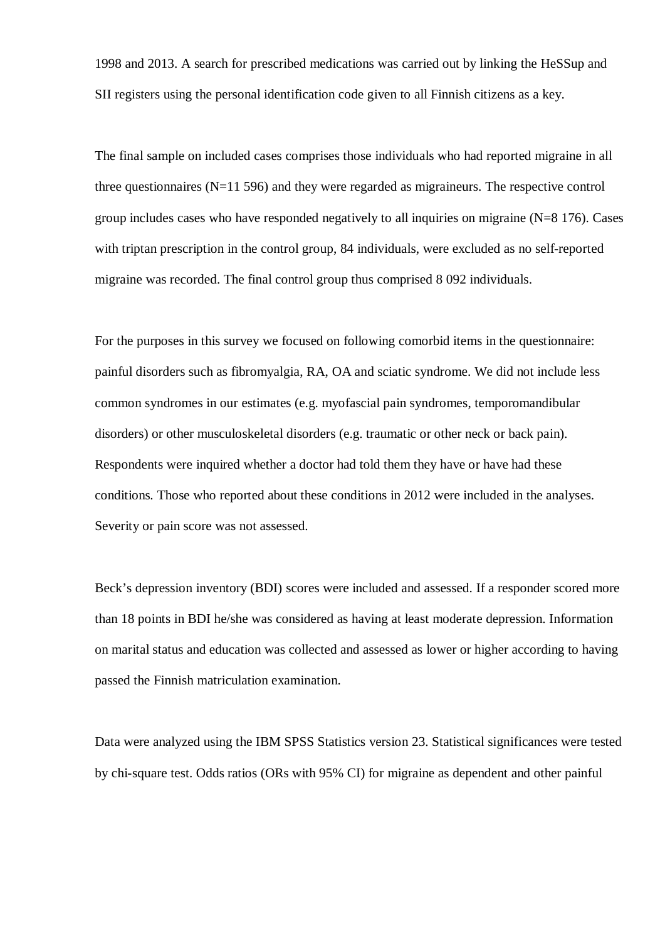1998 and 2013. A search for prescribed medications was carried out by linking the HeSSup and SII registers using the personal identification code given to all Finnish citizens as a key.

The final sample on included cases comprises those individuals who had reported migraine in all three questionnaires  $(N=11 596)$  and they were regarded as migraineurs. The respective control group includes cases who have responded negatively to all inquiries on migraine  $(N=8 176)$ . Cases with triptan prescription in the control group, 84 individuals, were excluded as no self-reported migraine was recorded. The final control group thus comprised 8 092 individuals.

For the purposes in this survey we focused on following comorbid items in the questionnaire: painful disorders such as fibromyalgia, RA, OA and sciatic syndrome. We did not include less common syndromes in our estimates (e.g. myofascial pain syndromes, temporomandibular disorders) or other musculoskeletal disorders (e.g. traumatic or other neck or back pain). Respondents were inquired whether a doctor had told them they have or have had these conditions. Those who reported about these conditions in 2012 were included in the analyses. Severity or pain score was not assessed.

Beck's depression inventory (BDI) scores were included and assessed. If a responder scored more than 18 points in BDI he/she was considered as having at least moderate depression. Information on marital status and education was collected and assessed as lower or higher according to having passed the Finnish matriculation examination.

Data were analyzed using the IBM SPSS Statistics version 23. Statistical significances were tested by chi-square test. Odds ratios (ORs with 95% CI) for migraine as dependent and other painful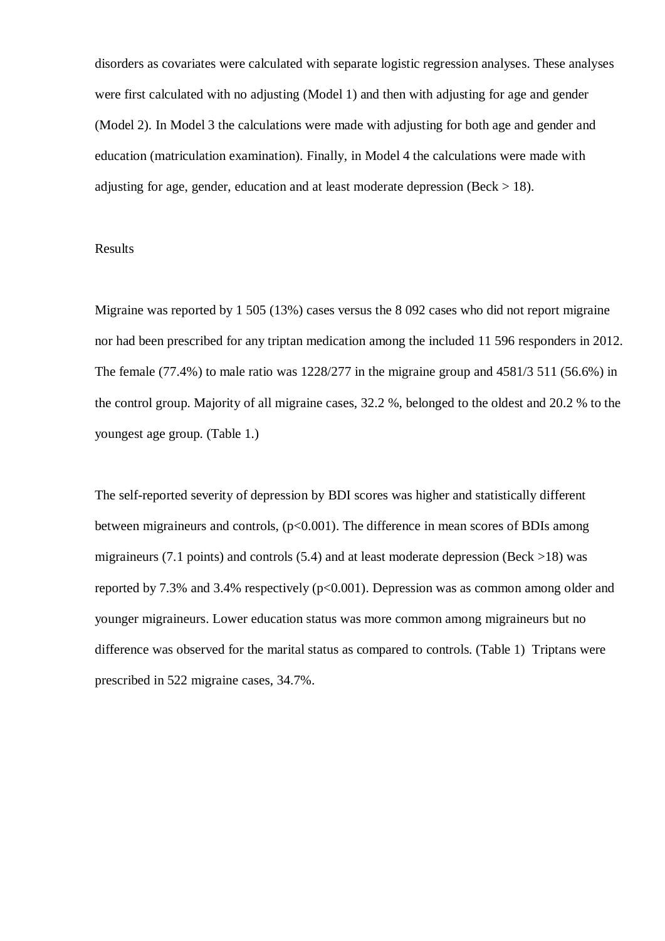disorders as covariates were calculated with separate logistic regression analyses. These analyses were first calculated with no adjusting (Model 1) and then with adjusting for age and gender (Model 2). In Model 3 the calculations were made with adjusting for both age and gender and education (matriculation examination). Finally, in Model 4 the calculations were made with adjusting for age, gender, education and at least moderate depression (Beck  $> 18$ ).

#### Results

Migraine was reported by 1 505 (13%) cases versus the 8 092 cases who did not report migraine nor had been prescribed for any triptan medication among the included 11 596 responders in 2012. The female (77.4%) to male ratio was 1228/277 in the migraine group and 4581/3 511 (56.6%) in the control group. Majority of all migraine cases, 32.2 %, belonged to the oldest and 20.2 % to the youngest age group. (Table 1.)

The self-reported severity of depression by BDI scores was higher and statistically different between migraineurs and controls, (p<0.001). The difference in mean scores of BDIs among migraineurs (7.1 points) and controls (5.4) and at least moderate depression (Beck  $>18$ ) was reported by 7.3% and 3.4% respectively ( $p<0.001$ ). Depression was as common among older and younger migraineurs. Lower education status was more common among migraineurs but no difference was observed for the marital status as compared to controls. (Table 1) Triptans were prescribed in 522 migraine cases, 34.7%.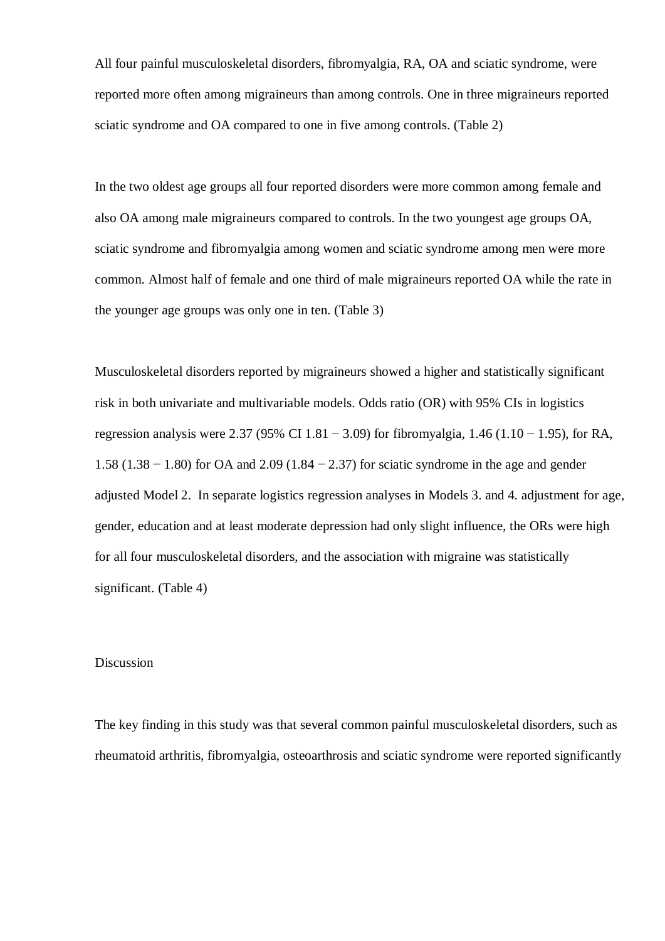All four painful musculoskeletal disorders, fibromyalgia, RA, OA and sciatic syndrome, were reported more often among migraineurs than among controls. One in three migraineurs reported sciatic syndrome and OA compared to one in five among controls. (Table 2)

In the two oldest age groups all four reported disorders were more common among female and also OA among male migraineurs compared to controls. In the two youngest age groups OA, sciatic syndrome and fibromyalgia among women and sciatic syndrome among men were more common. Almost half of female and one third of male migraineurs reported OA while the rate in the younger age groups was only one in ten. (Table 3)

Musculoskeletal disorders reported by migraineurs showed a higher and statistically significant risk in both univariate and multivariable models. Odds ratio (OR) with 95% CIs in logistics regression analysis were 2.37 (95% CI 1.81 – 3.09) for fibromyalgia, 1.46 (1.10 – 1.95), for RA, 1.58 (1.38 − 1.80) for OA and 2.09 (1.84 − 2.37) for sciatic syndrome in the age and gender adjusted Model 2. In separate logistics regression analyses in Models 3. and 4. adjustment for age, gender, education and at least moderate depression had only slight influence, the ORs were high for all four musculoskeletal disorders, and the association with migraine was statistically significant. (Table 4)

#### Discussion

The key finding in this study was that several common painful musculoskeletal disorders, such as rheumatoid arthritis, fibromyalgia, osteoarthrosis and sciatic syndrome were reported significantly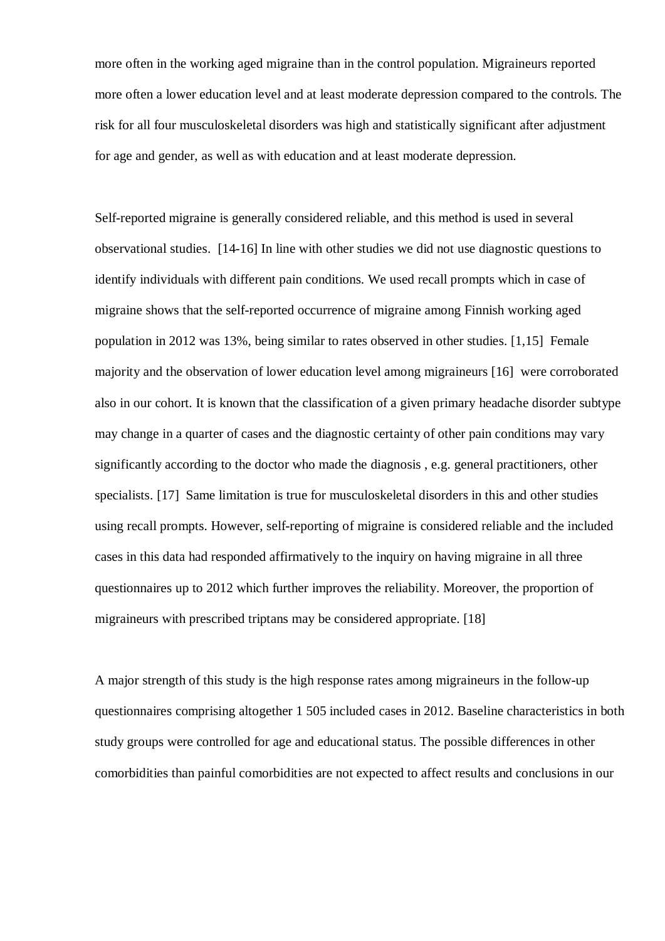more often in the working aged migraine than in the control population. Migraineurs reported more often a lower education level and at least moderate depression compared to the controls. The risk for all four musculoskeletal disorders was high and statistically significant after adjustment for age and gender, as well as with education and at least moderate depression.

Self-reported migraine is generally considered reliable, and this method is used in several observational studies. [14-16] In line with other studies we did not use diagnostic questions to identify individuals with different pain conditions. We used recall prompts which in case of migraine shows that the self-reported occurrence of migraine among Finnish working aged population in 2012 was 13%, being similar to rates observed in other studies. [1,15] Female majority and the observation of lower education level among migraineurs [16] were corroborated also in our cohort. It is known that the classification of a given primary headache disorder subtype may change in a quarter of cases and the diagnostic certainty of other pain conditions may vary significantly according to the doctor who made the diagnosis , e.g. general practitioners, other specialists. [17] Same limitation is true for musculoskeletal disorders in this and other studies using recall prompts. However, self-reporting of migraine is considered reliable and the included cases in this data had responded affirmatively to the inquiry on having migraine in all three questionnaires up to 2012 which further improves the reliability. Moreover, the proportion of migraineurs with prescribed triptans may be considered appropriate. [18]

A major strength of this study is the high response rates among migraineurs in the follow-up questionnaires comprising altogether 1 505 included cases in 2012. Baseline characteristics in both study groups were controlled for age and educational status. The possible differences in other comorbidities than painful comorbidities are not expected to affect results and conclusions in our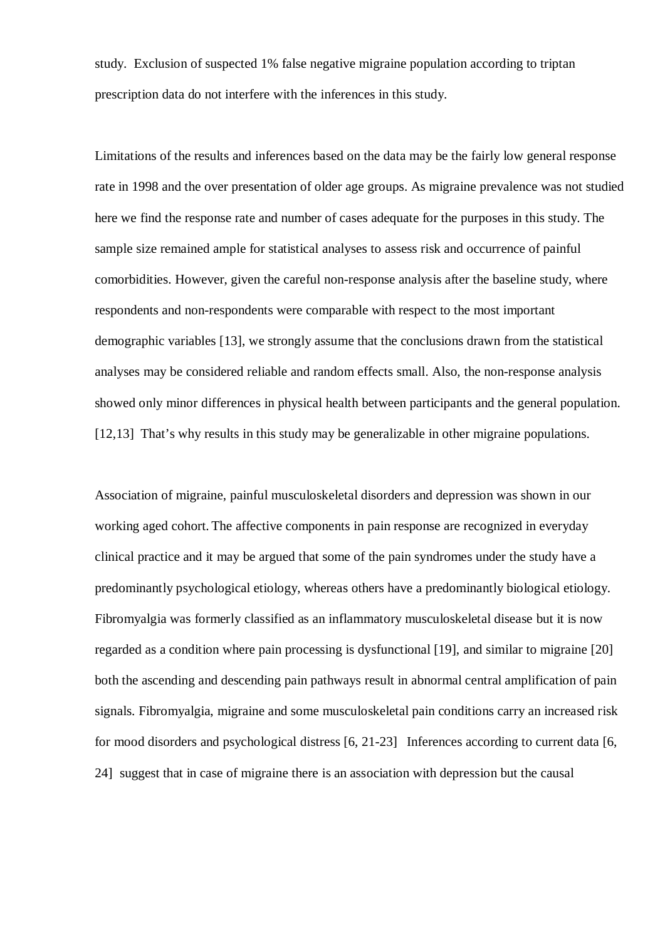study. Exclusion of suspected 1% false negative migraine population according to triptan prescription data do not interfere with the inferences in this study.

Limitations of the results and inferences based on the data may be the fairly low general response rate in 1998 and the over presentation of older age groups. As migraine prevalence was not studied here we find the response rate and number of cases adequate for the purposes in this study. The sample size remained ample for statistical analyses to assess risk and occurrence of painful comorbidities. However, given the careful non-response analysis after the baseline study, where respondents and non-respondents were comparable with respect to the most important demographic variables [13], we strongly assume that the conclusions drawn from the statistical analyses may be considered reliable and random effects small. Also, the non-response analysis showed only minor differences in physical health between participants and the general population. [12,13] That's why results in this study may be generalizable in other migraine populations.

Association of migraine, painful musculoskeletal disorders and depression was shown in our working aged cohort. The affective components in pain response are recognized in everyday clinical practice and it may be argued that some of the pain syndromes under the study have a predominantly psychological etiology, whereas others have a predominantly biological etiology. Fibromyalgia was formerly classified as an inflammatory musculoskeletal disease but it is now regarded as a condition where pain processing is dysfunctional [19], and similar to migraine [20] both the ascending and descending pain pathways result in abnormal central amplification of pain signals. Fibromyalgia, migraine and some musculoskeletal pain conditions carry an increased risk for mood disorders and psychological distress [6, 21-23] Inferences according to current data [6, 24] suggest that in case of migraine there is an association with depression but the causal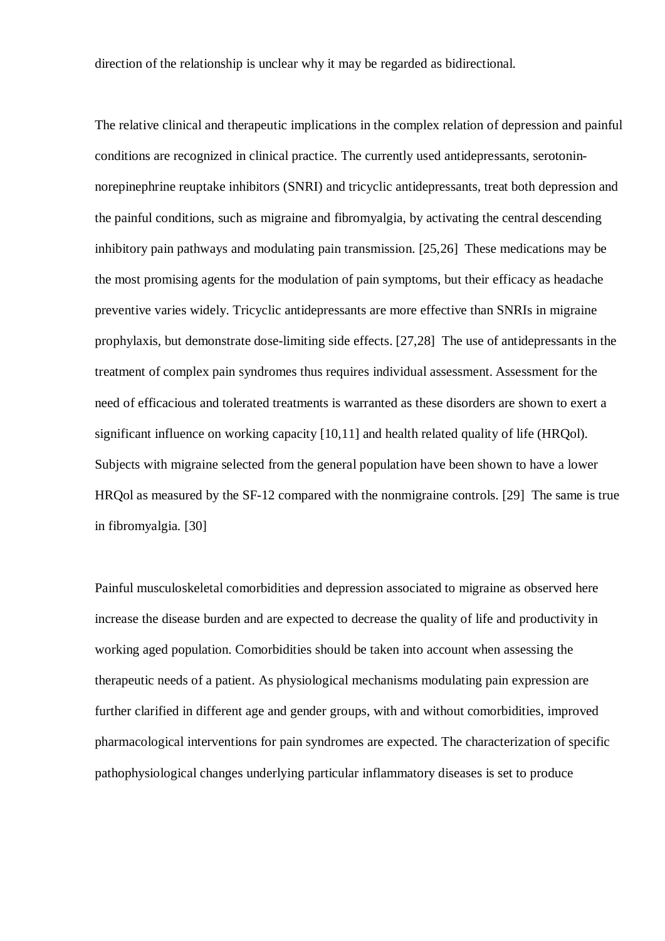direction of the relationship is unclear why it may be regarded as bidirectional.

The relative clinical and therapeutic implications in the complex relation of depression and painful conditions are recognized in clinical practice. The currently used antidepressants, serotoninnorepinephrine reuptake inhibitors (SNRI) and tricyclic antidepressants, treat both depression and the painful conditions, such as migraine and fibromyalgia, by activating the central descending inhibitory pain pathways and modulating pain transmission. [25,26] These medications may be the most promising agents for the modulation of pain symptoms, but their efficacy as headache preventive varies widely. Tricyclic antidepressants are more effective than SNRIs in migraine prophylaxis, but demonstrate dose-limiting side effects. [27,28] The use of antidepressants in the treatment of complex pain syndromes thus requires individual assessment. Assessment for the need of efficacious and tolerated treatments is warranted as these disorders are shown to exert a significant influence on working capacity [10,11] and health related quality of life (HRQol). Subjects with migraine selected from the general population have been shown to have a lower HRQol as measured by the SF-12 compared with the nonmigraine controls. [29] The same is true in fibromyalgia. [30]

Painful musculoskeletal comorbidities and depression associated to migraine as observed here increase the disease burden and are expected to decrease the quality of life and productivity in working aged population. Comorbidities should be taken into account when assessing the therapeutic needs of a patient. As physiological mechanisms modulating pain expression are further clarified in different age and gender groups, with and without comorbidities, improved pharmacological interventions for pain syndromes are expected. The characterization of specific pathophysiological changes underlying particular inflammatory diseases is set to produce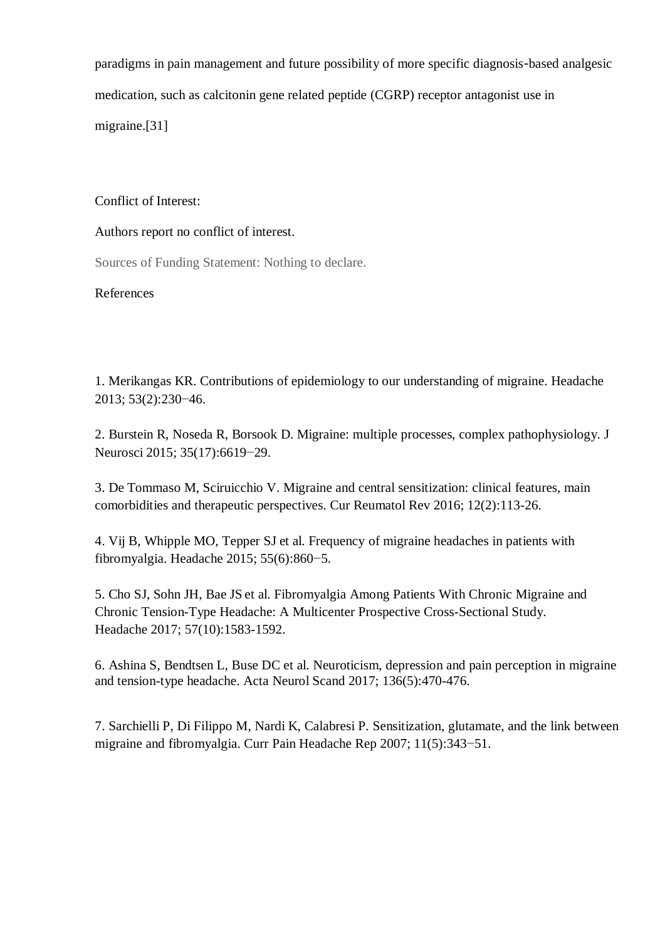paradigms in pain management and future possibility of more specific diagnosis-based analgesic medication, such as calcitonin gene related peptide (CGRP) receptor antagonist use in migraine.[31]

### Conflict of Interest:

# Authors report no conflict of interest.

Sources of Funding Statement: Nothing to declare.

# References

1. [Merikangas KR](https://www.ncbi.nlm.nih.gov/pubmed/?term=Merikangas%20KR%5BAuthor%5D&cauthor=true&cauthor_uid=23432441). Contributions of epidemiology to our understanding of migraine. Headache 2013; 53(2):230−46.

2. Burstein R, Noseda R, Borsook D. [Migraine: multiple processes, complex pathophysiology.](https://www.ncbi.nlm.nih.gov/pubmed/25926442) J Neurosci 2015; 35(17):6619−29.

3. [De Tommaso M,](http://www.ncbi.nlm.nih.gov/pubmed/?term=de%20Tommaso%20M%5BAuthor%5D&cauthor=true&cauthor_uid=26717950) [Sciruicchio V.](http://www.ncbi.nlm.nih.gov/pubmed/?term=Sciruicchio%20V%5BAuthor%5D&cauthor=true&cauthor_uid=26717950) [Migraine and central sensitization: clinical features, main](http://www.ncbi.nlm.nih.gov/pubmed/26717950) [comorbidities and therapeutic perspectives.](http://www.ncbi.nlm.nih.gov/pubmed/26717950) Cur Reumatol Rev 2016; 12(2):113-26.

4. [Vij B](http://www.ncbi.nlm.nih.gov/pubmed/?term=Vij%20B%5BAuthor%5D&cauthor=true&cauthor_uid=25994041), [Whipple MO,](http://www.ncbi.nlm.nih.gov/pubmed/?term=Whipple%20MO%5BAuthor%5D&cauthor=true&cauthor_uid=25994041) [Tepper SJ](http://www.ncbi.nlm.nih.gov/pubmed/?term=Tepper%20SJ%5BAuthor%5D&cauthor=true&cauthor_uid=25994041) et al. [Frequency of migraine headaches in patients with](http://www.ncbi.nlm.nih.gov/pubmed/25994041) [fibromyalgia.](http://www.ncbi.nlm.nih.gov/pubmed/25994041) Headache 2015; 55(6):860−5.

5. [Cho SJ](https://www.ncbi.nlm.nih.gov/pubmed/?term=Cho%20SJ%5BAuthor%5D&cauthor=true&cauthor_uid=28940352), [Sohn JH](https://www.ncbi.nlm.nih.gov/pubmed/?term=Sohn%20JH%5BAuthor%5D&cauthor=true&cauthor_uid=28940352), [Bae JS](https://www.ncbi.nlm.nih.gov/pubmed/?term=Bae%20JS%5BAuthor%5D&cauthor=true&cauthor_uid=28940352) et al. Fibromyalgia Among Patients With Chronic Migraine and Chronic Tension-Type Headache: A Multicenter Prospective Cross-Sectional Study. [Headache](https://www.ncbi.nlm.nih.gov/pubmed/28940352) 2017; 57(10):1583-1592.

6. [Ashina S](https://www.ncbi.nlm.nih.gov/pubmed/?term=Ashina%20S%5BAuthor%5D&cauthor=true&cauthor_uid=28261782), [Bendtsen L,](https://www.ncbi.nlm.nih.gov/pubmed/?term=Bendtsen%20L%5BAuthor%5D&cauthor=true&cauthor_uid=28261782) [Buse DC](https://www.ncbi.nlm.nih.gov/pubmed/?term=Buse%20DC%5BAuthor%5D&cauthor=true&cauthor_uid=28261782) et al. Neuroticism, depression and pain perception in migraine and tension-type headache. [Acta Neurol Scand](https://www.ncbi.nlm.nih.gov/pubmed/28261782) 2017; 136(5):470-476.

7. [Sarchielli P](http://www.ncbi.nlm.nih.gov/pubmed/?term=Sarchielli%20P%5BAuthor%5D&cauthor=true&cauthor_uid=17894924), [Di Filippo M](http://www.ncbi.nlm.nih.gov/pubmed/?term=Di%20Filippo%20M%5BAuthor%5D&cauthor=true&cauthor_uid=17894924), [Nardi K,](http://www.ncbi.nlm.nih.gov/pubmed/?term=Nardi%20K%5BAuthor%5D&cauthor=true&cauthor_uid=17894924) [Calabresi P.](http://www.ncbi.nlm.nih.gov/pubmed/?term=Calabresi%20P%5BAuthor%5D&cauthor=true&cauthor_uid=17894924) [Sensitization, glutamate, and the link between](http://www.ncbi.nlm.nih.gov/pubmed/17894924) [migraine and fibromyalgia.](http://www.ncbi.nlm.nih.gov/pubmed/17894924) Curr Pain Headache Rep 2007; 11(5):343−51.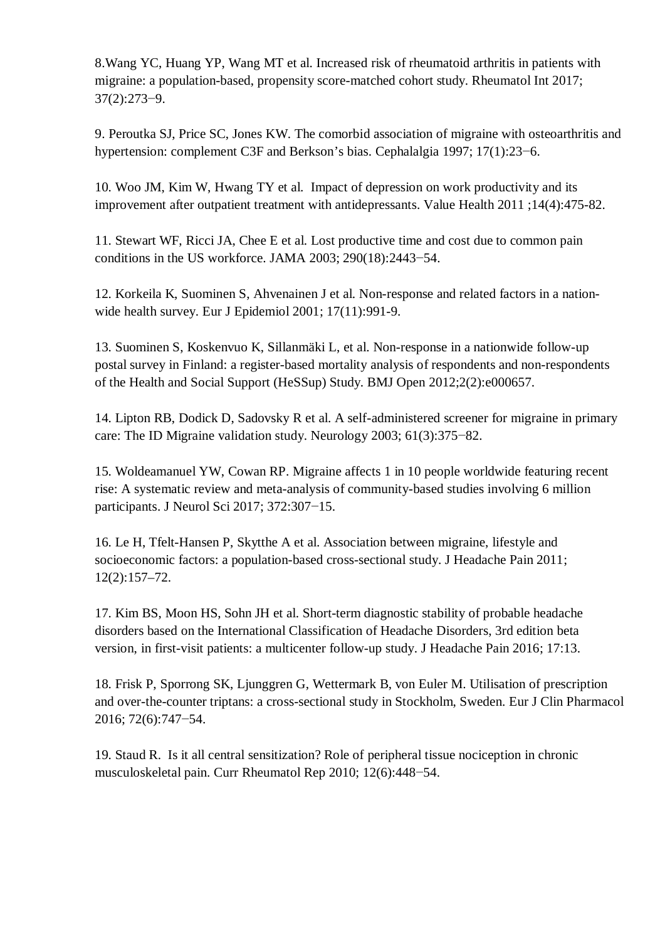8[.Wang YC](https://www.ncbi.nlm.nih.gov/pubmed/?term=Wang%20YC%5BAuthor%5D&cauthor=true&cauthor_uid=27844125), [Huang YP,](https://www.ncbi.nlm.nih.gov/pubmed/?term=Huang%20YP%5BAuthor%5D&cauthor=true&cauthor_uid=27844125) [Wang MT](https://www.ncbi.nlm.nih.gov/pubmed/?term=Wang%20MT%5BAuthor%5D&cauthor=true&cauthor_uid=27844125) et al. Increased risk of rheumatoid arthritis in patients with migraine: a population-based, propensity score-matched cohort study. Rheumatol Int [20](https://www.ncbi.nlm.nih.gov/pubmed/27844125)17; 37(2):273−9.

9. Peroutka SJ, Price SC, Jones KW. [The comorbid association of migraine with osteoarthritis and](https://www.ncbi.nlm.nih.gov/pubmed/9051331) [hypertension: complement C3F and Berkson's bias.](https://www.ncbi.nlm.nih.gov/pubmed/9051331) Cephalalgia 1997; 17(1):23−6.

10. [Woo JM,](https://www.ncbi.nlm.nih.gov/pubmed/?term=Woo%20JM%5BAuthor%5D&cauthor=true&cauthor_uid=21669372) [Kim W,](https://www.ncbi.nlm.nih.gov/pubmed/?term=Kim%20W%5BAuthor%5D&cauthor=true&cauthor_uid=21669372) [Hwang TY](https://www.ncbi.nlm.nih.gov/pubmed/?term=Hwang%20TY%5BAuthor%5D&cauthor=true&cauthor_uid=21669372) et al. Impact of depression on work productivity and its improvement after outpatient treatment with antidepressants. [Value Health](https://www.ncbi.nlm.nih.gov/pubmed/21669372) 2011 ;14(4):475-82.

11. Stewart WF, Ricci JA, Chee E et al. [Lost productive time and cost due to common pain](https://www.ncbi.nlm.nih.gov/pubmed/14612481) [conditions in the US workforce.](https://www.ncbi.nlm.nih.gov/pubmed/14612481) JAMA 2003; 290(18):2443−54.

12. Korkeila K, Suominen S, Ahvenainen J et al. Non-response and related factors in a nationwide health survey. Eur J Epidemiol 2001; 17(11):991-9.

13. Suominen S, Koskenvuo K, Sillanmäki L, et al. Non-response in a nationwide follow-up postal survey in Finland: a register-based mortality analysis of respondents and non-respondents of the Health and Social Support (HeSSup) Study. BMJ Open 2012;2(2):e000657.

14. Lipton RB, [Dodick D,](https://www.ncbi.nlm.nih.gov/pubmed/?term=Dodick%20D%5BAuthor%5D&cauthor=true&cauthor_uid=12913201) [Sadovsky R](https://www.ncbi.nlm.nih.gov/pubmed/?term=Sadovsky%20R%5BAuthor%5D&cauthor=true&cauthor_uid=12913201) et al. A self-administered screener for migraine in primary care: The ID Migraine validation study. [Ne](https://www.ncbi.nlm.nih.gov/pubmed/?term=Lipton%2C+Dodick+et+al.+Neurology+2003%3B61%3A375-82)urology 2003; 61(3):375−82.

15. Woldeamanuel YW, Cowan RP. [Migraine affects 1 in 10 people worldwide featuring recent](https://www.ncbi.nlm.nih.gov/pubmed/28017235) [rise: A systematic review and meta-analysis of community-based studies involving 6 million](https://www.ncbi.nlm.nih.gov/pubmed/28017235) [participants.](https://www.ncbi.nlm.nih.gov/pubmed/28017235) J Neurol Sci 2017; 372:307−15.

16. [Le](https://www.ncbi.nlm.nih.gov/pubmed/?term=Le%20H%5BAuthor%5D&cauthor=true&cauthor_uid=21390550) H, [Tfelt-Hansen](https://www.ncbi.nlm.nih.gov/pubmed/?term=Tfelt-Hansen%20P%5BAuthor%5D&cauthor=true&cauthor_uid=21390550) P, [Skytthe](https://www.ncbi.nlm.nih.gov/pubmed/?term=Skytthe%20A%5BAuthor%5D&cauthor=true&cauthor_uid=21390550) A et al. Association between migraine, lifestyle and socioeconomic factors: a population-based cross-sectional study. [J Headache Pain](https://www.ncbi.nlm.nih.gov/pmc/articles/PMC3072515/) 2011; 12(2):157–72.

17. Kim BS, Moon HS, Sohn JH et al. [Short-term diagnostic stability of probable headache](https://www.ncbi.nlm.nih.gov/pubmed/26892842) [disorders based on the International Classification of Headache Disorders, 3rd edition beta](https://www.ncbi.nlm.nih.gov/pubmed/26892842) [version, in first-visit patients: a multicenter follow-up study.](https://www.ncbi.nlm.nih.gov/pubmed/26892842) J Headache Pain 2016; 17:13.

18. [Frisk P](https://www.ncbi.nlm.nih.gov/pubmed/?term=Frisk%20P%5BAuthor%5D&cauthor=true&cauthor_uid=26922586), [Sporrong SK](https://www.ncbi.nlm.nih.gov/pubmed/?term=Sporrong%20SK%5BAuthor%5D&cauthor=true&cauthor_uid=26922586), [Ljunggren G,](https://www.ncbi.nlm.nih.gov/pubmed/?term=Ljunggren%20G%5BAuthor%5D&cauthor=true&cauthor_uid=26922586) [Wettermark B,](https://www.ncbi.nlm.nih.gov/pubmed/?term=Wettermark%20B%5BAuthor%5D&cauthor=true&cauthor_uid=26922586) [von Euler M.](https://www.ncbi.nlm.nih.gov/pubmed/?term=von%20Euler%20M%5BAuthor%5D&cauthor=true&cauthor_uid=26922586) Utilisation of prescription and over-the-counter triptans: a cross-sectional study in Stockholm, Sweden. [Eu](https://www.ncbi.nlm.nih.gov/pubmed/26922586)r J Clin Pharmacol 2016; 72(6):747−54.

19. [Staud R](https://www.ncbi.nlm.nih.gov/pubmed/?term=Staud%20R%5BAuthor%5D&cauthor=true&cauthor_uid=20882373). Is it all central sensitization? Role of peripheral tissue nociception in chronic musculoskeletal pain. [Cu](https://www.ncbi.nlm.nih.gov/pubmed/20882373)rr Rheumatol Rep 2010; 12(6):448−54.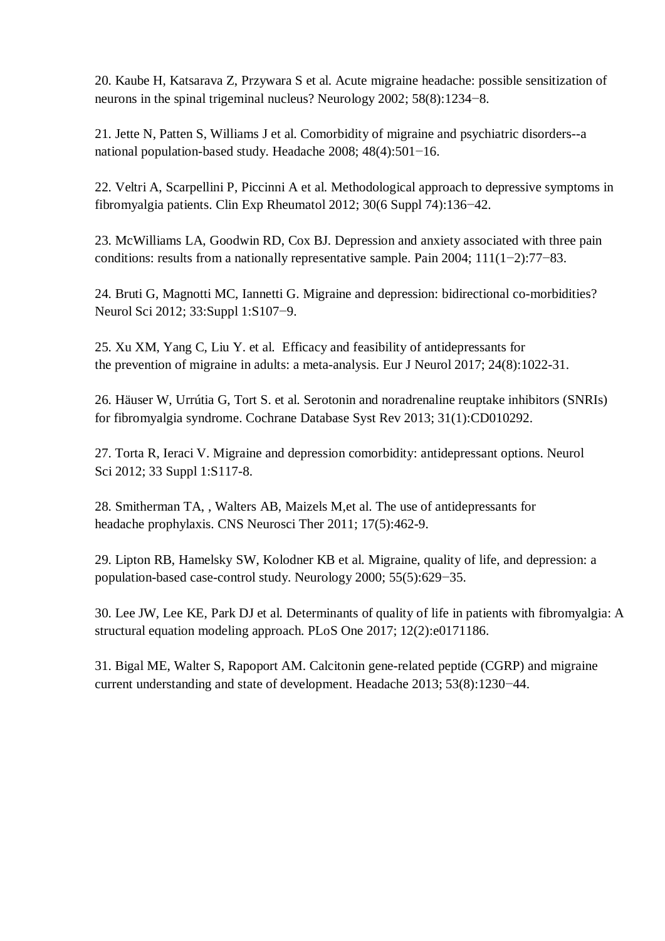[20. Kaube H,](https://www.ncbi.nlm.nih.gov/pubmed/?term=Kaube%20H%5BAuthor%5D&cauthor=true&cauthor_uid=11971092) [Katsarava Z,](https://www.ncbi.nlm.nih.gov/pubmed/?term=Katsarava%20Z%5BAuthor%5D&cauthor=true&cauthor_uid=11971092) [Przywara S](https://www.ncbi.nlm.nih.gov/pubmed/?term=Przywara%20S%5BAuthor%5D&cauthor=true&cauthor_uid=11971092) et al. Acute migraine headache: possible sensitization of neurons in the spinal trigeminal nucleus? [N](https://www.ncbi.nlm.nih.gov/pubmed/11971092)eurology 2002; 58(8):1234−8.

21. [Jette N](https://www.ncbi.nlm.nih.gov/pubmed/?term=Jette%20N%5BAuthor%5D&cauthor=true&cauthor_uid=18070059), [Patten S](https://www.ncbi.nlm.nih.gov/pubmed/?term=Patten%20S%5BAuthor%5D&cauthor=true&cauthor_uid=18070059), [Williams J](https://www.ncbi.nlm.nih.gov/pubmed/?term=Williams%20J%5BAuthor%5D&cauthor=true&cauthor_uid=18070059) et al. Comorbidity of migraine and psychiatric disorders--a national population-based study. [He](https://www.ncbi.nlm.nih.gov/pubmed/18070059)adache 2008; 48(4):501−16.

22. [Veltri A](https://www.ncbi.nlm.nih.gov/pubmed/?term=Veltri%20A%5BAuthor%5D&cauthor=true&cauthor_uid=23261013), [Scarpellini P,](https://www.ncbi.nlm.nih.gov/pubmed/?term=Scarpellini%20P%5BAuthor%5D&cauthor=true&cauthor_uid=23261013) [Piccinni A](https://www.ncbi.nlm.nih.gov/pubmed/?term=Piccinni%20A%5BAuthor%5D&cauthor=true&cauthor_uid=23261013) et al. Methodological approach to depressive symptoms in fibromyalgia patients. [C](https://www.ncbi.nlm.nih.gov/pubmed/23261013)lin Exp Rheumatol 2012; 30(6 Suppl 74):136−42.

23. [McWilliams LA,](https://www.ncbi.nlm.nih.gov/pubmed/?term=McWilliams%20LA%5BAuthor%5D&cauthor=true&cauthor_uid=15327811) [Goodwin RD,](https://www.ncbi.nlm.nih.gov/pubmed/?term=Goodwin%20RD%5BAuthor%5D&cauthor=true&cauthor_uid=15327811) [Cox BJ.](https://www.ncbi.nlm.nih.gov/pubmed/?term=Cox%20BJ%5BAuthor%5D&cauthor=true&cauthor_uid=15327811) Depression and anxiety associated with three pain conditions: results from a nationally representative sample. [Pa](https://www.ncbi.nlm.nih.gov/pubmed/15327811)in 2004; 111(1−2):77−83.

24. [Bruti G](https://www.ncbi.nlm.nih.gov/pubmed/?term=Bruti%20G%5BAuthor%5D&cauthor=true&cauthor_uid=22644183), [Magnotti MC,](https://www.ncbi.nlm.nih.gov/pubmed/?term=Magnotti%20MC%5BAuthor%5D&cauthor=true&cauthor_uid=22644183) [Iannetti G](https://www.ncbi.nlm.nih.gov/pubmed/?term=Iannetti%20G%5BAuthor%5D&cauthor=true&cauthor_uid=22644183). Migraine and depression: bidirectional co-morbidities? [Ne](https://www.ncbi.nlm.nih.gov/pubmed/22644183)urol Sci 2012; 33:Suppl 1:S107−9.

25. [Xu XM](https://www.ncbi.nlm.nih.gov/pubmed/?term=Xu%20XM%5BAuthor%5D&cauthor=true&cauthor_uid=28557171), [Yang C,](https://www.ncbi.nlm.nih.gov/pubmed/?term=Yang%20C%5BAuthor%5D&cauthor=true&cauthor_uid=28557171) [Liu Y](https://www.ncbi.nlm.nih.gov/pubmed/?term=Liu%20Y%5BAuthor%5D&cauthor=true&cauthor_uid=28557171). et al. Efficacy and feasibility of antidepressants for the prevention of migraine in adults: a meta-analysis. [Eur J Neurol](https://www.ncbi.nlm.nih.gov/pubmed/28557171) 2017; 24(8):1022-31.

26. [Häuser W](https://www.ncbi.nlm.nih.gov/pubmed/?term=H%C3%A4user%20W%5BAuthor%5D&cauthor=true&cauthor_uid=23440848), [Urrútia G](https://www.ncbi.nlm.nih.gov/pubmed/?term=Urr%C3%BAtia%20G%5BAuthor%5D&cauthor=true&cauthor_uid=23440848), [Tort S](https://www.ncbi.nlm.nih.gov/pubmed/?term=Tort%20S%5BAuthor%5D&cauthor=true&cauthor_uid=23440848). et al. Serotonin and noradrenaline reuptake inhibitors (SNRIs) for fibromyalgia syndrome. [Cochrane Database Syst Rev](https://www.ncbi.nlm.nih.gov/pubmed/23440848) 2013; 31(1):CD010292.

27. [Torta R](https://www.ncbi.nlm.nih.gov/pubmed/?term=Torta%20R%5BAuthor%5D&cauthor=true&cauthor_uid=22644185), [Ieraci V](https://www.ncbi.nlm.nih.gov/pubmed/?term=Ieraci%20V%5BAuthor%5D&cauthor=true&cauthor_uid=22644185). Migraine and depression comorbidity: antidepressant options. [Neurol](https://www.ncbi.nlm.nih.gov/pubmed/22644185) [Sci](https://www.ncbi.nlm.nih.gov/pubmed/22644185) 2012; 33 Suppl 1:S117-8.

28. [Smitherman TA,](https://www.ncbi.nlm.nih.gov/pubmed/?term=Smitherman%20TA%5BAuthor%5D&cauthor=true&cauthor_uid=21951370) , [Walters AB,](https://www.ncbi.nlm.nih.gov/pubmed/?term=Walters%20AB%5BAuthor%5D&cauthor=true&cauthor_uid=21951370) [Maizels M,](https://www.ncbi.nlm.nih.gov/pubmed/?term=Maizels%20M%5BAuthor%5D&cauthor=true&cauthor_uid=21951370)et al. The use of antidepressants for headache prophylaxis. [CNS Neurosci Ther](https://www.ncbi.nlm.nih.gov/pubmed/21951370) 2011; 17(5):462-9.

29. [Lipton RB,](https://www.ncbi.nlm.nih.gov/pubmed/?term=Lipton%20RB%5BAuthor%5D&cauthor=true&cauthor_uid=10980724) [Hamelsky SW,](https://www.ncbi.nlm.nih.gov/pubmed/?term=Hamelsky%20SW%5BAuthor%5D&cauthor=true&cauthor_uid=10980724) [Kolodner KB](https://www.ncbi.nlm.nih.gov/pubmed/?term=Kolodner%20KB%5BAuthor%5D&cauthor=true&cauthor_uid=10980724) et al. Migraine, quality of life, and depression: a population-based case-control study. [Ne](https://www.ncbi.nlm.nih.gov/pubmed/?term=(Neurology+2000%3B55%3A629-635+Lipton))urology 2000; 55(5):629−35.

30. [Lee JW,](https://www.ncbi.nlm.nih.gov/pubmed/?term=Lee%20JW%5BAuthor%5D&cauthor=true&cauthor_uid=28158289) [Lee KE,](https://www.ncbi.nlm.nih.gov/pubmed/?term=Lee%20KE%5BAuthor%5D&cauthor=true&cauthor_uid=28158289) [Park DJ](https://www.ncbi.nlm.nih.gov/pubmed/?term=Park%20DJ%5BAuthor%5D&cauthor=true&cauthor_uid=28158289) et al. Determinants of quality of life in patients with fibromyalgia: A structural equation modeling approach. [P](https://www.ncbi.nlm.nih.gov/pubmed/28158289)LoS One 2017; 12(2):e0171186.

31. [Bigal ME,](https://www.ncbi.nlm.nih.gov/pubmed/?term=Bigal%20ME%5BAuthor%5D&cauthor=true&cauthor_uid=23848260) [Walter S](https://www.ncbi.nlm.nih.gov/pubmed/?term=Walter%20S%5BAuthor%5D&cauthor=true&cauthor_uid=23848260), [Rapoport AM](https://www.ncbi.nlm.nih.gov/pubmed/?term=Rapoport%20AM%5BAuthor%5D&cauthor=true&cauthor_uid=23848260). Calcitonin gene-related peptide (CGRP) and migraine current understanding and state of development. Headache [20](https://www.ncbi.nlm.nih.gov/pubmed/23848260)13; 53(8):1230−44.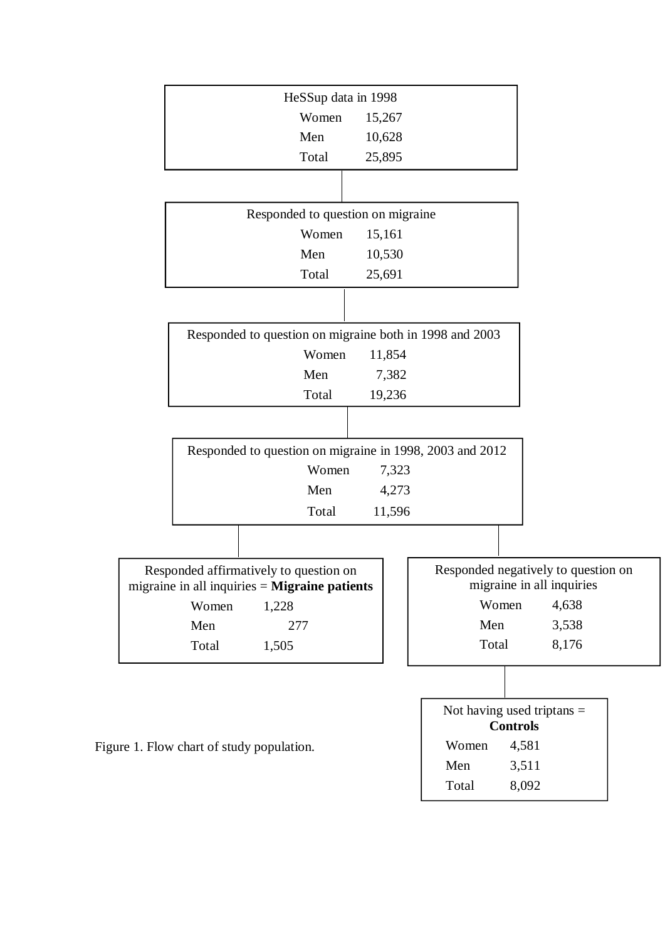| HeSSup data in 1998                                                                              |                                                                  |
|--------------------------------------------------------------------------------------------------|------------------------------------------------------------------|
| Women                                                                                            | 15,267                                                           |
| Men                                                                                              | 10,628                                                           |
| Total                                                                                            | 25,895                                                           |
|                                                                                                  |                                                                  |
| Responded to question on migraine                                                                |                                                                  |
| Women                                                                                            | 15,161                                                           |
| Men                                                                                              | 10,530                                                           |
| Total                                                                                            | 25,691                                                           |
|                                                                                                  |                                                                  |
| Responded to question on migraine both in 1998 and 2003                                          |                                                                  |
| Women                                                                                            | 11,854                                                           |
| Men                                                                                              | 7,382                                                            |
| Total                                                                                            | 19,236                                                           |
|                                                                                                  |                                                                  |
| Responded to question on migraine in 1998, 2003 and 2012                                         |                                                                  |
| Women                                                                                            | 7,323                                                            |
| Men                                                                                              | 4,273                                                            |
| Total                                                                                            | 11,596                                                           |
|                                                                                                  |                                                                  |
| Responded affirmatively to question on<br>migraine in all inquiries $=$ <b>Migraine patients</b> | Responded negatively to question on<br>migraine in all inquiries |
| Women<br>1,228                                                                                   | 4,638<br>Women                                                   |
| Men<br>277                                                                                       | Men<br>3,538                                                     |
| Total<br>1,505                                                                                   | Total<br>8,176                                                   |
|                                                                                                  |                                                                  |
|                                                                                                  | Not having used triptans $=$<br><b>Controls</b>                  |
| Figure 1. Flow chart of study population.                                                        | Women<br>4,581                                                   |
|                                                                                                  | Men<br>3,511                                                     |
|                                                                                                  | 8,092<br>Total                                                   |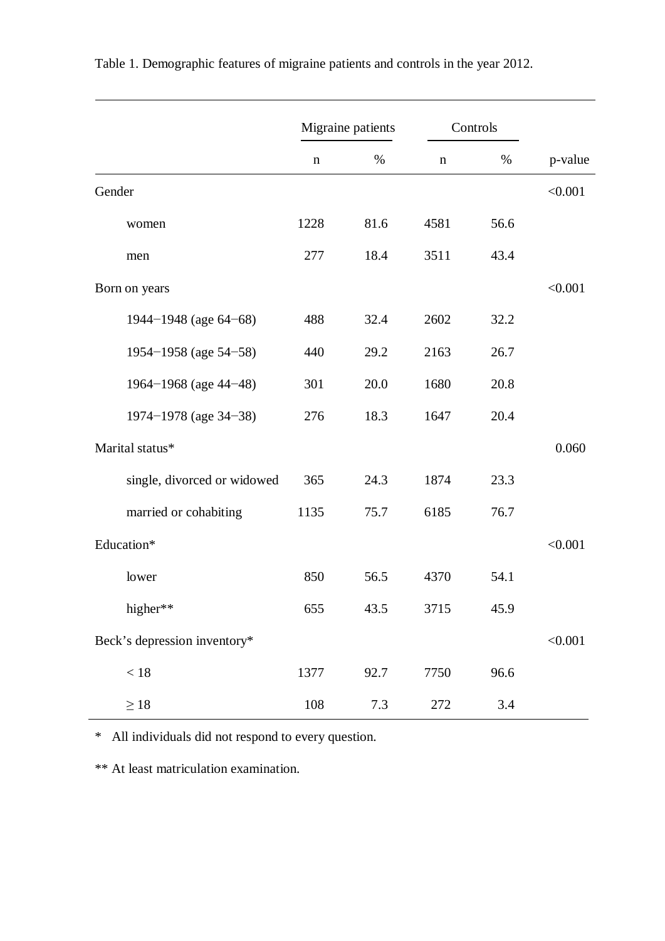|                              |             | Migraine patients | Controls    |      |         |
|------------------------------|-------------|-------------------|-------------|------|---------|
|                              | $\mathbf n$ | %                 | $\mathbf n$ | %    | p-value |
| Gender                       |             |                   |             |      | < 0.001 |
| women                        | 1228        | 81.6              | 4581        | 56.6 |         |
| men                          | 277         | 18.4              | 3511        | 43.4 |         |
| Born on years                |             |                   |             |      | < 0.001 |
| 1944-1948 (age 64-68)        | 488         | 32.4              | 2602        | 32.2 |         |
| 1954–1958 (age 54–58)        | 440         | 29.2              | 2163        | 26.7 |         |
| 1964-1968 (age 44-48)        | 301         | 20.0              | 1680        | 20.8 |         |
| 1974-1978 (age 34-38)        | 276         | 18.3              | 1647        | 20.4 |         |
| Marital status*              |             |                   |             |      | 0.060   |
| single, divorced or widowed  | 365         | 24.3              | 1874        | 23.3 |         |
| married or cohabiting        | 1135        | 75.7              | 6185        | 76.7 |         |
| Education*                   |             |                   |             |      | < 0.001 |
| lower                        | 850         | 56.5              | 4370        | 54.1 |         |
| higher**                     | 655         | 43.5              | 3715        | 45.9 |         |
| Beck's depression inventory* |             |                   |             |      | < 0.001 |
| $<18\,$                      | 1377        | 92.7              | 7750        | 96.6 |         |
| $\geq 18$                    | 108         | 7.3               | 272         | 3.4  |         |

Table 1. Demographic features of migraine patients and controls in the year 2012.

\* All individuals did not respond to every question.

\*\* At least matriculation examination.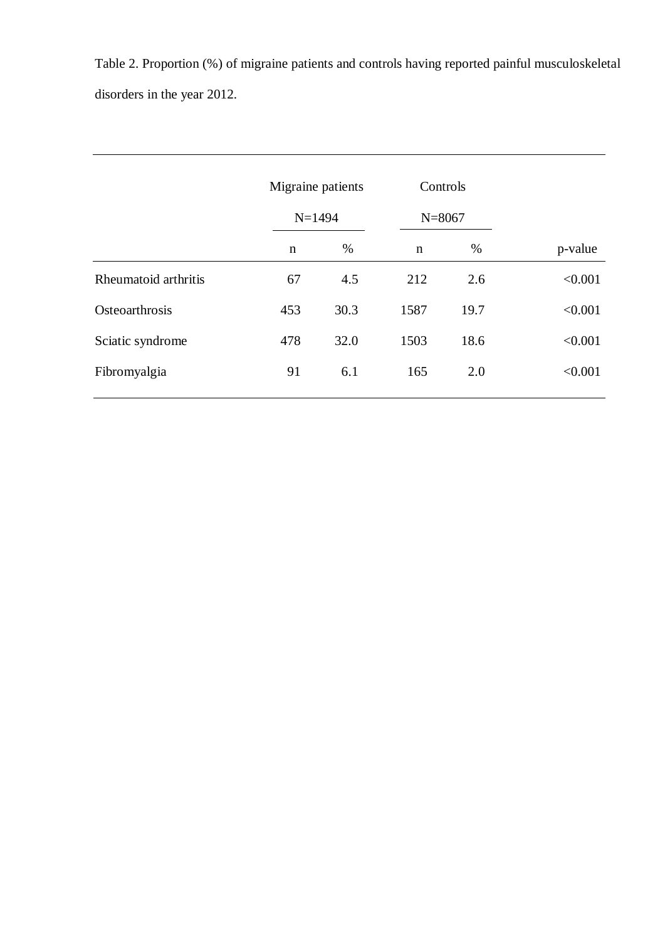Table 2. Proportion (%) of migraine patients and controls having reported painful musculoskeletal disorders in the year 2012.

|                      | Migraine patients<br>$N = 1494$ |      | Controls<br>$N = 8067$ |      |         |
|----------------------|---------------------------------|------|------------------------|------|---------|
|                      | $\mathbf n$                     | %    | $\mathbf n$            | $\%$ | p-value |
| Rheumatoid arthritis | 67                              | 4.5  | 212                    | 2.6  | < 0.001 |
| Osteoarthrosis       | 453                             | 30.3 | 1587                   | 19.7 | < 0.001 |
| Sciatic syndrome     | 478                             | 32.0 | 1503                   | 18.6 | < 0.001 |
| Fibromyalgia         | 91                              | 6.1  | 165                    | 2.0  | < 0.001 |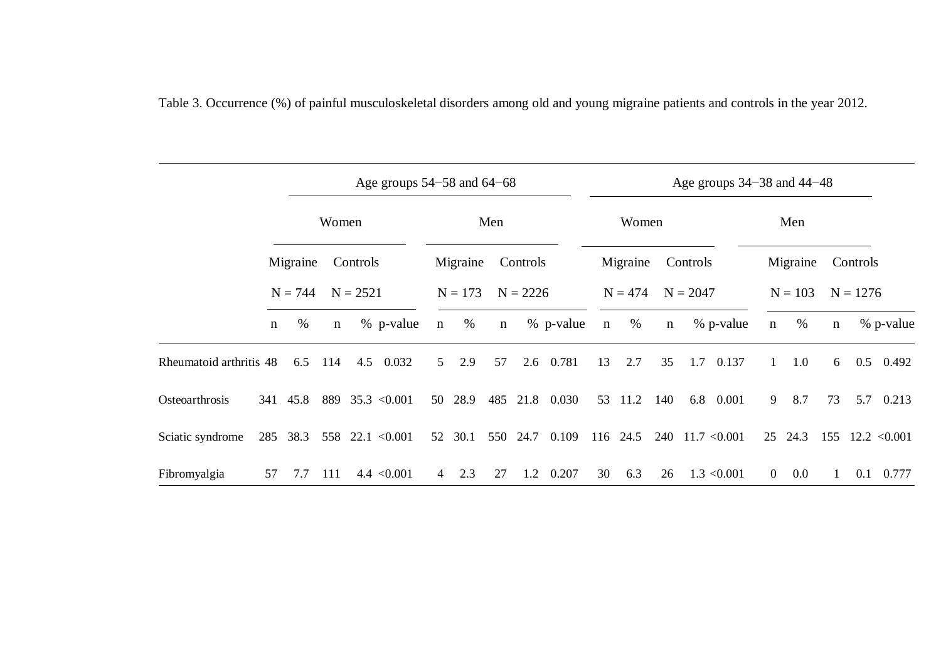|                         |             | Age groups $54-58$ and $64-68$ |             |            |                    |                |           |             | Age groups $34-38$ and $44-48$ |           |             |           |             |            |                    |                |           |              |            |                    |
|-------------------------|-------------|--------------------------------|-------------|------------|--------------------|----------------|-----------|-------------|--------------------------------|-----------|-------------|-----------|-------------|------------|--------------------|----------------|-----------|--------------|------------|--------------------|
|                         |             | Women                          |             |            | Men                |                |           |             | Women                          |           |             | Men       |             |            |                    |                |           |              |            |                    |
|                         |             | Migraine                       |             | Controls   |                    |                | Migraine  |             | Controls                       |           |             | Migraine  |             | Controls   |                    |                | Migraine  |              | Controls   |                    |
|                         |             | $N = 744$                      |             | $N = 2521$ |                    |                | $N = 173$ |             | $N = 2226$                     |           |             | $N = 474$ |             | $N = 2047$ |                    |                | $N = 103$ |              | $N = 1276$ |                    |
|                         | $\mathbf n$ | $\%$                           | $\mathbf n$ |            | % p-value          | $\mathbf n$    | $\%$      | $\mathbf n$ |                                | % p-value | $\mathbf n$ | $\%$      | $\mathbf n$ |            | % p-value          | $\mathbf n$    | $\%$      | $\mathbf n$  |            | % p-value          |
| Rheumatoid arthritis 48 |             | 6.5                            | 114         |            | 4.5 0.032          | 5 <sup>1</sup> | 2.9       | 57          | 2.6                            | 0.781     | 13          | 2.7       | 35          | 1.7        | 0.137              | $\mathbf{1}$   | 1.0       | 6            | 0.5        | 0.492              |
| Osteoarthrosis          | 341         | 45.8                           | 889         |            | $35.3 \le 0.001$   | 50             | 28.9      | 485         | 21.8                           | 0.030     | 53          | 11.2      | 140         | 6.8        | 0.001              | 9              | 8.7       | 73           | 5.7        | 0.213              |
| Sciatic syndrome        |             | 285 38.3                       |             |            | 558 22.1 $< 0.001$ | 52             | 30.1      | 550         | 24.7                           | 0.109     |             | 116 24.5  |             |            | $240$ 11.7 < 0.001 |                | 25 24.3   |              |            | 155 12.2 $< 0.001$ |
| Fibromyalgia            | 57          | 7.7                            | 111         |            | $4.4 \le 0.001$    | $\overline{4}$ | 2.3       | 27          | 1.2                            | 0.207     | 30          | 6.3       | 26          |            | $1.3 \le 0.001$    | $\overline{0}$ | 0.0       | $\mathbf{1}$ | 0.1        | 0.777              |

Table 3. Occurrence (%) of painful musculoskeletal disorders among old and young migraine patients and controls in the year 2012.